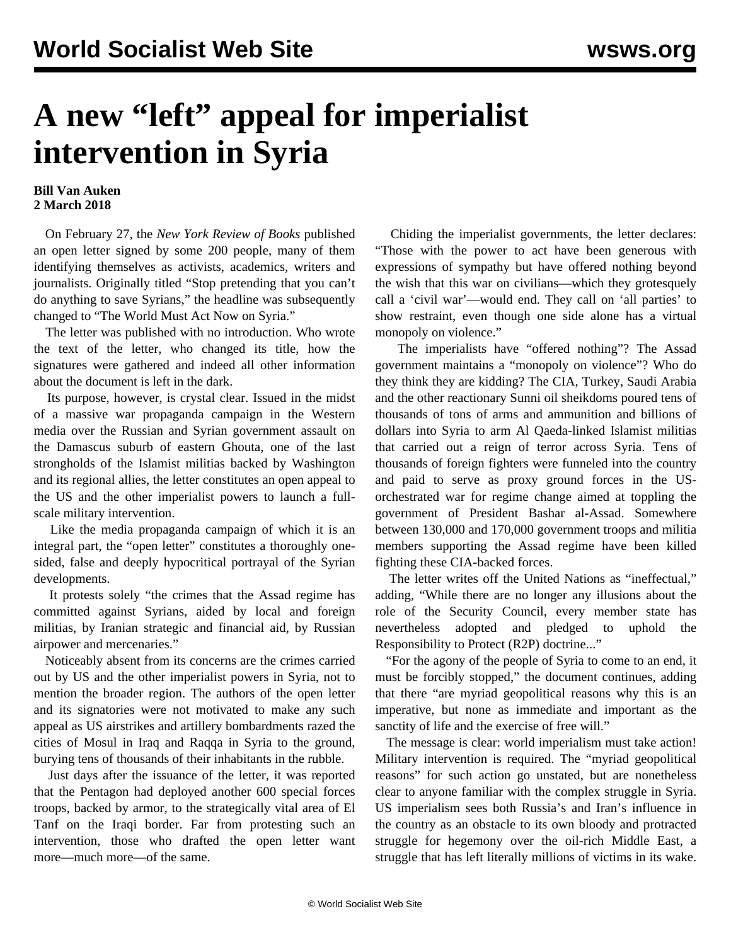## **A new "left" appeal for imperialist intervention in Syria**

## **Bill Van Auken 2 March 2018**

 On February 27, the *New York Review of Books* published an open letter signed by some 200 people, many of them identifying themselves as activists, academics, writers and journalists. Originally titled "Stop pretending that you can't do anything to save Syrians," the headline was subsequently changed to "[The World Must Act Now on Syria.](http://www.nybooks.com/daily/2018/02/27/the-world-must-act-now-on-syria/)"

 The letter was published with no introduction. Who wrote the text of the letter, who changed its title, how the signatures were gathered and indeed all other information about the document is left in the dark.

 Its purpose, however, is crystal clear. Issued in the midst of a massive war propaganda campaign in the Western media over the Russian and Syrian government assault on the Damascus suburb of eastern Ghouta, one of the last strongholds of the Islamist militias backed by Washington and its regional allies, the letter constitutes an open appeal to the US and the other imperialist powers to launch a fullscale military intervention.

 Like the media propaganda campaign of which it is an integral part, the "open letter" constitutes a thoroughly onesided, false and deeply hypocritical portrayal of the Syrian developments.

 It protests solely "the crimes that the Assad regime has committed against Syrians, aided by local and foreign militias, by Iranian strategic and financial aid, by Russian airpower and mercenaries."

 Noticeably absent from its concerns are the crimes carried out by US and the other imperialist powers in Syria, not to mention the broader region. The authors of the open letter and its signatories were not motivated to make any such appeal as US airstrikes and artillery bombardments razed the cities of Mosul in Iraq and Raqqa in Syria to the ground, burying tens of thousands of their inhabitants in the rubble.

 Just days after the issuance of the letter, it was reported that the Pentagon had deployed another 600 special forces troops, backed by armor, to the strategically vital area of El Tanf on the Iraqi border. Far from protesting such an intervention, those who drafted the open letter want more—much more—of the same.

 Chiding the imperialist governments, the letter declares: "Those with the power to act have been generous with expressions of sympathy but have offered nothing beyond the wish that this war on civilians—which they grotesquely call a 'civil war'—would end. They call on 'all parties' to show restraint, even though one side alone has a virtual monopoly on violence."

 The imperialists have "offered nothing"? The Assad government maintains a "monopoly on violence"? Who do they think they are kidding? The CIA, Turkey, Saudi Arabia and the other reactionary Sunni oil sheikdoms poured tens of thousands of tons of arms and ammunition and billions of dollars into Syria to arm Al Qaeda-linked Islamist militias that carried out a reign of terror across Syria. Tens of thousands of foreign fighters were funneled into the country and paid to serve as proxy ground forces in the USorchestrated war for regime change aimed at toppling the government of President Bashar al-Assad. Somewhere between 130,000 and 170,000 government troops and militia members supporting the Assad regime have been killed fighting these CIA-backed forces.

 The letter writes off the United Nations as "ineffectual," adding, "While there are no longer any illusions about the role of the Security Council, every member state has nevertheless adopted and pledged to uphold the Responsibility to Protect (R2P) doctrine..."

 "For the agony of the people of Syria to come to an end, it must be forcibly stopped," the document continues, adding that there "are myriad geopolitical reasons why this is an imperative, but none as immediate and important as the sanctity of life and the exercise of free will."

 The message is clear: world imperialism must take action! Military intervention is required. The "myriad geopolitical reasons" for such action go unstated, but are nonetheless clear to anyone familiar with the complex struggle in Syria. US imperialism sees both Russia's and Iran's influence in the country as an obstacle to its own bloody and protracted struggle for hegemony over the oil-rich Middle East, a struggle that has left literally millions of victims in its wake.